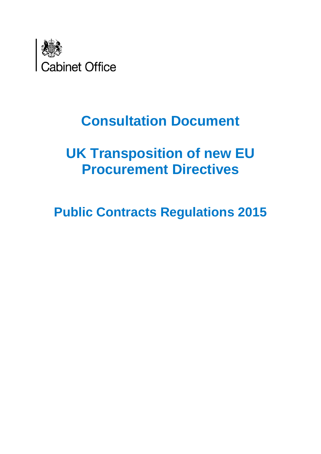

# **Consultation Document**

# **UK Transposition of new EU Procurement Directives**

**Public Contracts Regulations 2015**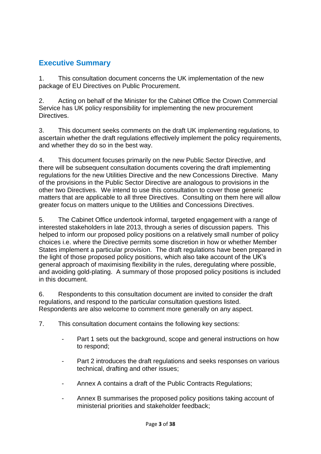# <span id="page-2-0"></span>**Executive Summary**

1. This consultation document concerns the UK implementation of the new package of EU Directives on Public Procurement.

2. Acting on behalf of the Minister for the Cabinet Office the Crown Commercial Service has UK policy responsibility for implementing the new procurement Directives.

3. This document seeks comments on the draft UK implementing regulations, to ascertain whether the draft regulations effectively implement the policy requirements, and whether they do so in the best way.

4. This document focuses primarily on the new Public Sector Directive, and there will be subsequent consultation documents covering the draft implementing regulations for the new Utilities Directive and the new Concessions Directive. Many of the provisions in the Public Sector Directive are analogous to provisions in the other two Directives. We intend to use this consultation to cover those generic matters that are applicable to all three Directives. Consulting on them here will allow greater focus on matters unique to the Utilities and Concessions Directives.

5. The Cabinet Office undertook informal, targeted engagement with a range of interested stakeholders in late 2013, through a series of discussion papers. This helped to inform our proposed policy positions on a relatively small number of policy choices i.e. where the Directive permits some discretion in how or whether Member States implement a particular provision. The draft regulations have been prepared in the light of those proposed policy positions, which also take account of the UK's general approach of maximising flexibility in the rules, deregulating where possible, and avoiding gold-plating. A summary of those proposed policy positions is included in this document.

6. Respondents to this consultation document are invited to consider the draft regulations, and respond to the particular consultation questions listed. Respondents are also welcome to comment more generally on any aspect.

- 7. This consultation document contains the following key sections:
	- Part 1 sets out the background, scope and general instructions on how to respond;
	- Part 2 introduces the draft regulations and seeks responses on various technical, drafting and other issues;
	- Annex A contains a draft of the Public Contracts Regulations;
	- Annex B summarises the proposed policy positions taking account of ministerial priorities and stakeholder feedback;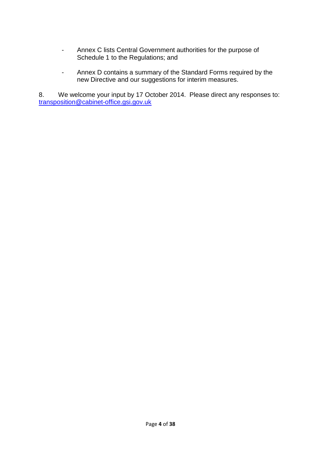- Annex C lists Central Government authorities for the purpose of Schedule 1 to the Regulations; and
- Annex D contains a summary of the Standard Forms required by the new Directive and our suggestions for interim measures.

8. We welcome your input by 17 October 2014. Please direct any responses to: [transposition@cabinet-office.gsi.gov.uk](mailto:transposition@cabinet-office.gsi.gov.uk)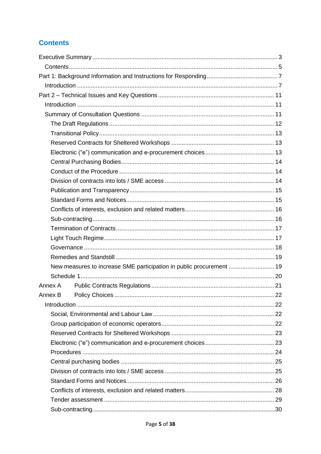# <span id="page-4-0"></span>**Contents**

| New measures to increase SME participation in public procurement  19 |  |  |  |
|----------------------------------------------------------------------|--|--|--|
|                                                                      |  |  |  |
| Annex A                                                              |  |  |  |
|                                                                      |  |  |  |
|                                                                      |  |  |  |
|                                                                      |  |  |  |
|                                                                      |  |  |  |
|                                                                      |  |  |  |
|                                                                      |  |  |  |
|                                                                      |  |  |  |
|                                                                      |  |  |  |
|                                                                      |  |  |  |
|                                                                      |  |  |  |
|                                                                      |  |  |  |
|                                                                      |  |  |  |
|                                                                      |  |  |  |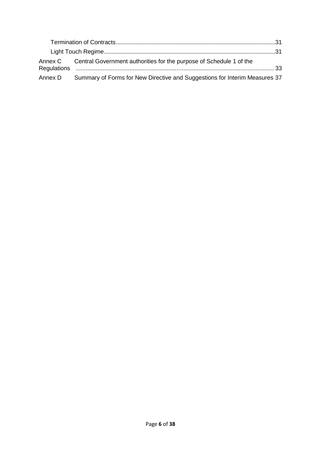|         | Annex C Central Government authorities for the purpose of Schedule 1 of the |  |
|---------|-----------------------------------------------------------------------------|--|
| Annex D | Summary of Forms for New Directive and Suggestions for Interim Measures 37  |  |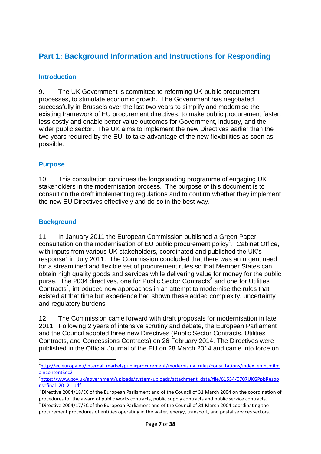# <span id="page-6-0"></span>**Part 1: Background Information and Instructions for Responding**

# <span id="page-6-1"></span>**Introduction**

9. The UK Government is committed to reforming UK public procurement processes, to stimulate economic growth. The Government has negotiated successfully in Brussels over the last two years to simplify and modernise the existing framework of EU procurement directives, to make public procurement faster, less costly and enable better value outcomes for Government, industry, and the wider public sector. The UK aims to implement the new Directives earlier than the two years required by the EU, to take advantage of the new flexibilities as soon as possible.

# **Purpose**

10. This consultation continues the longstanding programme of engaging UK stakeholders in the modernisation process. The purpose of this document is to consult on the draft implementing regulations and to confirm whether they implement the new EU Directives effectively and do so in the best way.

# **Background**

**.** 

11. In January 2011 the European Commission published a Green Paper consultation on the modernisation of EU public procurement policy<sup>1</sup>. Cabinet Office, with inputs from various UK stakeholders, coordinated and published the UK's response<sup>2</sup> in July 2011. The Commission concluded that there was an urgent need for a streamlined and flexible set of procurement rules so that Member States can obtain high quality goods and services while delivering value for money for the public purse. The 2004 directives, one for Public Sector Contracts<sup>3</sup> and one for Utilities Contracts<sup>4</sup>, introduced new approaches in an attempt to modernise the rules that existed at that time but experience had shown these added complexity, uncertainty and regulatory burdens.

12. The Commission came forward with draft proposals for modernisation in late 2011. Following 2 years of intensive scrutiny and debate, the European Parliament and the Council adopted three new Directives (Public Sector Contracts, Utilities Contracts, and Concessions Contracts) on 26 February 2014. The Directives were published in the Official Journal of the EU on 28 March 2014 and came into force on

<sup>&</sup>lt;sup>1</sup>[http://ec.europa.eu/internal\\_market/publicprocurement/modernising\\_rules/consultations/index\\_en.htm#m](http://ec.europa.eu/internal_market/publicprocurement/modernising_rules/consultations/index_en.htm#maincontentSec2)

[aincontentSec2](http://ec.europa.eu/internal_market/publicprocurement/modernising_rules/consultations/index_en.htm#maincontentSec2) 2 [https://www.gov.uk/government/uploads/system/uploads/attachment\\_data/file/61554/0707UKGPpbRespo](https://www.gov.uk/government/uploads/system/uploads/attachment_data/file/61554/0707UKGPpbResponsefinal_20_2_.pdf) [nsefinal\\_20\\_2\\_.pdf](https://www.gov.uk/government/uploads/system/uploads/attachment_data/file/61554/0707UKGPpbResponsefinal_20_2_.pdf)

<sup>3</sup> Directive 2004/18/EC of the European Parliament and of the Council of 31 March 2004 on the coordination of procedures for the award of public works contracts, public supply contracts and public service contracts.

<sup>4</sup> Directive 2004/17/EC of the European Parliament and of the Council of 31 March 2004 coordinating the procurement procedures of entities operating in the water, energy, transport, and postal services sectors.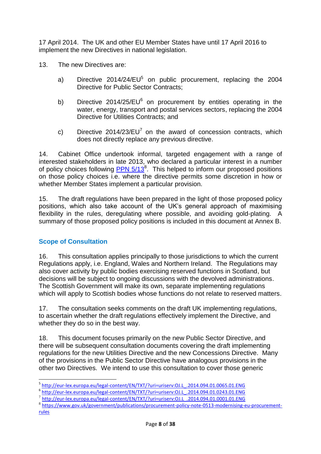17 April 2014. The UK and other EU Member States have until 17 April 2016 to implement the new Directives in national legislation.

- 13. The new Directives are:
	- a) Directive 2014/24/EU<sup>5</sup> on public procurement, replacing the 2004 Directive for Public Sector Contracts;
	- b) Directive 2014/25/EU $^6$  on procurement by entities operating in the water, energy, transport and postal services sectors, replacing the 2004 Directive for Utilities Contracts; and
	- c) Directive 2014/23/EU<sup>7</sup> on the award of concession contracts, which does not directly replace any previous directive.

14. Cabinet Office undertook informal, targeted engagement with a range of interested stakeholders in late 2013, who declared a particular interest in a number of policy choices following  $PPN$   $5/13^8$ . This helped to inform our proposed positions on those policy choices i.e. where the directive permits some discretion in how or whether Member States implement a particular provision.

15. The draft regulations have been prepared in the light of those proposed policy positions, which also take account of the UK's general approach of maximising flexibility in the rules, deregulating where possible, and avoiding gold-plating. A summary of those proposed policy positions is included in this document at Annex B.

# **Scope of Consultation**

 $\overline{a}$ 

16. This consultation applies principally to those jurisdictions to which the current Regulations apply, i.e. England, Wales and Northern Ireland. The Regulations may also cover activity by public bodies exercising reserved functions in Scotland, but decisions will be subject to ongoing discussions with the devolved administrations. The Scottish Government will make its own, separate implementing regulations which will apply to Scottish bodies whose functions do not relate to reserved matters.

17. The consultation seeks comments on the draft UK implementing regulations, to ascertain whether the draft regulations effectively implement the Directive, and whether they do so in the best way.

18. This document focuses primarily on the new Public Sector Directive, and there will be subsequent consultation documents covering the draft implementing regulations for the new Utilities Directive and the new Concessions Directive. Many of the provisions in the Public Sector Directive have analogous provisions in the other two Directives. We intend to use this consultation to cover those generic

<sup>&</sup>lt;sup>5</sup> [http://eur-lex.europa.eu/legal-content/EN/TXT/?uri=uriserv:OJ.L\\_.2014.094.01.0065.01.ENG](http://eur-lex.europa.eu/legal-content/EN/TXT/?uri=uriserv:OJ.L_.2014.094.01.0065.01.ENG)

<sup>6</sup> [http://eur-lex.europa.eu/legal-content/EN/TXT/?uri=uriserv:OJ.L\\_.2014.094.01.0243.01.ENG](http://eur-lex.europa.eu/legal-content/EN/TXT/?uri=uriserv:OJ.L_.2014.094.01.0243.01.ENG)

<sup>7</sup> [http://eur-lex.europa.eu/legal-content/EN/TXT/?uri=uriserv:OJ.L\\_.2014.094.01.0001.01.ENG](http://eur-lex.europa.eu/legal-content/EN/TXT/?uri=uriserv:OJ.L_.2014.094.01.0001.01.ENG)

<sup>8</sup> https://www.gov.uk/government/publications/procurement-policy-note-0513-modernising-eu-procurementrules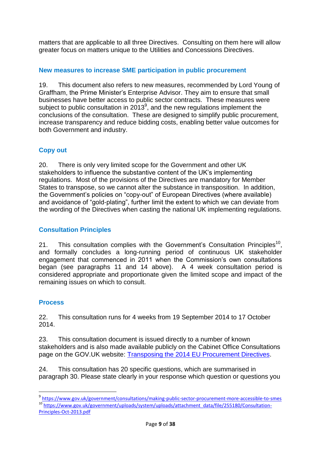matters that are applicable to all three Directives. Consulting on them here will allow greater focus on matters unique to the Utilities and Concessions Directives.

# **New measures to increase SME participation in public procurement**

19. This document also refers to new measures, recommended by Lord Young of Graffham, the Prime Minister's Enterprise Advisor. They aim to ensure that small businesses have better access to public sector contracts. These measures were subject to public consultation in 2013 $^9$ , and the new regulations implement the conclusions of the consultation. These are designed to simplify public procurement, increase transparency and reduce bidding costs, enabling better value outcomes for both Government and industry.

# **Copy out**

20. There is only very limited scope for the Government and other UK stakeholders to influence the substantive content of the UK's implementing regulations. Most of the provisions of the Directives are mandatory for Member States to transpose, so we cannot alter the substance in transposition. In addition, the Government's policies on "copy-out" of European Directives (where available) and avoidance of "gold-plating", further limit the extent to which we can deviate from the wording of the Directives when casting the national UK implementing regulations.

# **Consultation Principles**

21. This consultation complies with the Government's Consultation Principles<sup>10</sup>, and formally concludes a long-running period of continuous UK stakeholder engagement that commenced in 2011 when the Commission's own consultations began (see paragraphs 11 and 14 above). A 4 week consultation period is considered appropriate and proportionate given the limited scope and impact of the remaining issues on which to consult.

# **Process**

 $\overline{a}$ 

22. This consultation runs for 4 weeks from 19 September 2014 to 17 October 2014.

23. This consultation document is issued directly to a number of known stakeholders and is also made available publicly on the Cabinet Office Consultations page on the GOV.UK website: [Transposing the 2014 EU Procurement Directives.](https://www.gov.uk/government/consultations/transposing-the-2014-eu-procurement-directives)

24. This consultation has 20 specific questions, which are summarised in paragraph 30. Please state clearly in your response which question or questions you

<sup>&</sup>lt;sup>9</sup> <https://www.gov.uk/government/consultations/making-public-sector-procurement-more-accessible-to-smes> <sup>10</sup> [https://www.gov.uk/government/uploads/system/uploads/attachment\\_data/file/255180/Consultation-](https://www.gov.uk/government/uploads/system/uploads/attachment_data/file/255180/Consultation-Principles-Oct-2013.pdf)[Principles-Oct-2013.pdf](https://www.gov.uk/government/uploads/system/uploads/attachment_data/file/255180/Consultation-Principles-Oct-2013.pdf)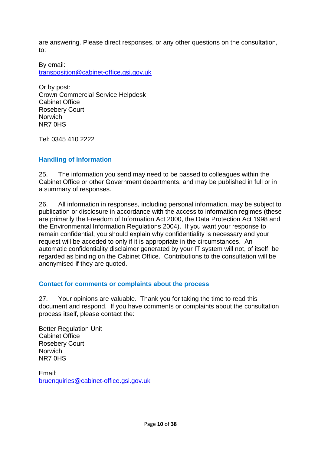are answering. Please direct responses, or any other questions on the consultation, to:

By email: [transposition@cabinet-office.gsi.gov.uk](mailto:transposition@cabinet-office.gsi.gov.uk)

Or by post: Crown Commercial Service Helpdesk Cabinet Office Rosebery Court **Norwich** NR7 0HS

Tel: 0345 410 2222

# **Handling of Information**

25. The information you send may need to be passed to colleagues within the Cabinet Office or other Government departments, and may be published in full or in a summary of responses.

26. All information in responses, including personal information, may be subject to publication or disclosure in accordance with the access to information regimes (these are primarily the Freedom of Information Act 2000, the Data Protection Act 1998 and the Environmental Information Regulations 2004). If you want your response to remain confidential, you should explain why confidentiality is necessary and your request will be acceded to only if it is appropriate in the circumstances. An automatic confidentiality disclaimer generated by your IT system will not, of itself, be regarded as binding on the Cabinet Office. Contributions to the consultation will be anonymised if they are quoted.

#### **Contact for comments or complaints about the process**

27. Your opinions are valuable. Thank you for taking the time to read this document and respond. If you have comments or complaints about the consultation process itself, please contact the:

Better Regulation Unit Cabinet Office Rosebery Court **Norwich** NR7 0HS

Email: [bruenquiries@cabinet-office.gsi.gov.uk](mailto:bruenquiries@cabinet-office.gsi.gov.uk)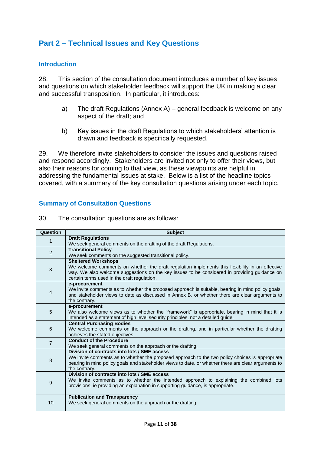# <span id="page-10-0"></span>**Part 2 – Technical Issues and Key Questions**

#### <span id="page-10-1"></span>**Introduction**

28. This section of the consultation document introduces a number of key issues and questions on which stakeholder feedback will support the UK in making a clear and successful transposition. In particular, it introduces:

- a) The draft Regulations (Annex A) general feedback is welcome on any aspect of the draft; and
- b) Key issues in the draft Regulations to which stakeholders' attention is drawn and feedback is specifically requested.

29. We therefore invite stakeholders to consider the issues and questions raised and respond accordingly. Stakeholders are invited not only to offer their views, but also their reasons for coming to that view, as these viewpoints are helpful in addressing the fundamental issues at stake. Below is a list of the headline topics covered, with a summary of the key consultation questions arising under each topic.

#### <span id="page-10-2"></span>**Summary of Consultation Questions**

| Question       | <b>Subject</b>                                                                                                       |
|----------------|----------------------------------------------------------------------------------------------------------------------|
|                | <b>Draft Regulations</b>                                                                                             |
| 1              | We seek general comments on the drafting of the draft Regulations.                                                   |
| 2              | <b>Transitional Policy</b>                                                                                           |
|                | We seek comments on the suggested transitional policy.                                                               |
|                | <b>Sheltered Workshops</b>                                                                                           |
| 3              | We welcome comments on whether the draft regulation implements this flexibility in an effective                      |
|                | way. We also welcome suggestions on the key issues to be considered in providing guidance on                         |
|                | certain terms used in the draft regulation.                                                                          |
|                | e-procurement                                                                                                        |
| 4              | We invite comments as to whether the proposed approach is suitable, bearing in mind policy goals,                    |
|                | and stakeholder views to date as discussed in Annex B, or whether there are clear arguments to                       |
|                | the contrary.                                                                                                        |
|                | e-procurement                                                                                                        |
| 5              | We also welcome views as to whether the "framework" is appropriate, bearing in mind that it is                       |
|                | intended as a statement of high level security principles, not a detailed guide.<br><b>Central Purchasing Bodies</b> |
| 6              | We welcome comments on the approach or the drafting, and in particular whether the drafting                          |
|                | achieves the stated objectives.                                                                                      |
|                | <b>Conduct of the Procedure</b>                                                                                      |
| $\overline{7}$ | We seek general comments on the approach or the drafting.                                                            |
|                | Division of contracts into lots / SME access                                                                         |
|                | We invite comments as to whether the proposed approach to the two policy choices is appropriate                      |
| 8              | bearing in mind policy goals and stakeholder views to date, or whether there are clear arguments to                  |
|                | the contrary.                                                                                                        |
|                | Division of contracts into lots / SME access                                                                         |
| 9              | We invite comments as to whether the intended approach to explaining the combined lots                               |
|                | provisions, ie providing an explanation in supporting quidance, is appropriate.                                      |
|                | <b>Publication and Transparency</b>                                                                                  |
| 10             | We seek general comments on the approach or the drafting.                                                            |
|                |                                                                                                                      |

30. The consultation questions are as follows: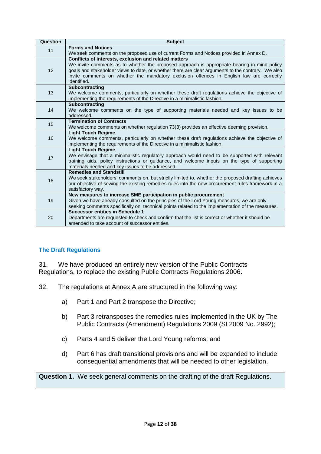| Question | <b>Subject</b>                                                                                                                                   |
|----------|--------------------------------------------------------------------------------------------------------------------------------------------------|
| 11       | <b>Forms and Notices</b>                                                                                                                         |
|          | We seek comments on the proposed use of current Forms and Notices provided in Annex D.                                                           |
|          | Conflicts of interests, exclusion and related matters                                                                                            |
|          | We invite comments as to whether the proposed approach is appropriate bearing in mind policy                                                     |
| 12       | goals and stakeholder views to date, or whether there are clear arguments to the contrary. We also                                               |
|          | invite comments on whether the mandatory exclusion offences in English law are correctly                                                         |
|          | identified.                                                                                                                                      |
|          | <b>Subcontracting</b>                                                                                                                            |
| 13       | We welcome comments, particularly on whether these draft regulations achieve the objective of                                                    |
|          | implementing the requirements of the Directive in a minimalistic fashion.                                                                        |
|          | Subcontracting                                                                                                                                   |
| 14       | We welcome comments on the type of supporting materials needed and key issues to be                                                              |
|          | addressed.                                                                                                                                       |
| 15       | <b>Termination of Contracts</b>                                                                                                                  |
|          | We welcome comments on whether regulation 73(3) provides an effective deeming provision.                                                         |
|          | <b>Light Touch Regime</b>                                                                                                                        |
| 16       | We welcome comments, particularly on whether these draft regulations achieve the objective of                                                    |
|          | implementing the requirements of the Directive in a minimalistic fashion.                                                                        |
|          | <b>Light Touch Regime</b>                                                                                                                        |
| 17       | We envisage that a minimalistic regulatory approach would need to be supported with relevant                                                     |
|          | training aids, policy instructions or guidance, and welcome inputs on the type of supporting<br>materials needed and key issues to be addressed. |
|          | <b>Remedies and Standstill</b>                                                                                                                   |
|          | We seek stakeholders' comments on, but strictly limited to, whether the proposed drafting achieves                                               |
| 18       | our objective of sewing the existing remedies rules into the new procurement rules framework in a                                                |
|          | satisfactory way.                                                                                                                                |
|          | New measures to increase SME participation in public procurement                                                                                 |
| 19       | Given we have already consulted on the principles of the Lord Young measures, we are only                                                        |
|          | seeking comments specifically on technical points related to the implementation of the measures.                                                 |
|          | <b>Successor entities in Schedule 1</b>                                                                                                          |
| 20       | Departments are requested to check and confirm that the list is correct or whether it should be                                                  |
|          | amended to take account of successor entities.                                                                                                   |
|          |                                                                                                                                                  |

# <span id="page-11-0"></span>**The Draft Regulations**

31. We have produced an entirely new version of the Public Contracts Regulations, to replace the existing Public Contracts Regulations 2006.

- 32. The regulations at Annex A are structured in the following way:
	- a) Part 1 and Part 2 transpose the Directive;
	- b) Part 3 retransposes the remedies rules implemented in the UK by The Public Contracts (Amendment) Regulations 2009 (SI 2009 No. 2992);
	- c) Parts 4 and 5 deliver the Lord Young reforms; and
	- d) Part 6 has draft transitional provisions and will be expanded to include consequential amendments that will be needed to other legislation.

**Question 1.** We seek general comments on the drafting of the draft Regulations.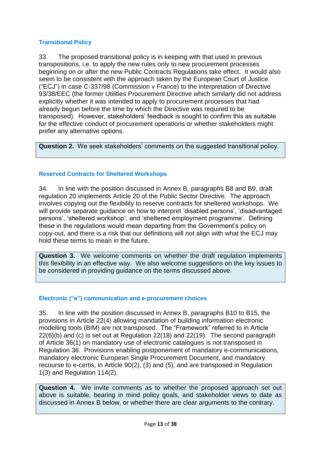# <span id="page-12-0"></span>**Transitional Policy**

33. The proposed transitional policy is in keeping with that used in previous transpositions, i.e. to apply the new rules only to new procurement processes beginning on or after the new Public Contracts Regulations take effect. It would also seem to be consistent with the approach taken by the European Court of Justice ("ECJ") in case C-337/98 (Commission v France) to the interpretation of Directive 93/38/EEC (the former Utilities Procurement Directive which similarly did not address explicitly whether it was intended to apply to procurement processes that had already begun before the time by which the Directive was required to be transposed). However, stakeholders' feedback is sought to confirm this as suitable for the effective conduct of procurement operations or whether stakeholders might prefer any alternative options.

**Question 2.** We seek stakeholders' comments on the suggested transitional policy.

# <span id="page-12-1"></span>**Reserved Contracts for Sheltered Workshops**

34. In line with the position discussed in Annex B, paragraphs B8 and B9, draft regulation 20 implements Article 20 of the Public Sector Directive. The approach involves copying out the flexibility to reserve contracts for sheltered workshops. We will provide separate guidance on how to interpret 'disabled persons', 'disadvantaged persons', 'sheltered workshop', and 'sheltered employment programme'. Defining these in the regulations would mean departing from the Government's policy on copy-out, and there is a risk that our definitions will not align with what the ECJ may hold these terms to mean in the future.

**Question 3.** We welcome comments on whether the draft regulation implements this flexibility in an effective way. We also welcome suggestions on the key issues to be considered in providing guidance on the terms discussed above.

# <span id="page-12-2"></span>**Electronic ("e") communication and e-procurement choices**

35. In line with the position discussed in Annex B, paragraphs B10 to B15, the provisions in Article 22(4) allowing mandation of building information electronic modelling tools (BIM) are not transposed. The "Framework" referred to in Article 22(6)(b) and (c) is set out at Regulation 22(18) and 22(19). The second paragraph of Article 36(1) on mandatory use of electronic catalogues is not transposed in Regulation 36. Provisions enabling postponement of mandatory e-communications, mandatory electronic European Single Procurement Document, and mandatory recourse to e-certis, in Article 90(2), (3) and (5), and are transposed in Regulation 1(3) and Regulation 114(2).

**Question 4.** We invite comments as to whether the proposed approach set out above is suitable, bearing in mind policy goals, and stakeholder views to date as discussed in Annex B below, or whether there are clear arguments to the contrary.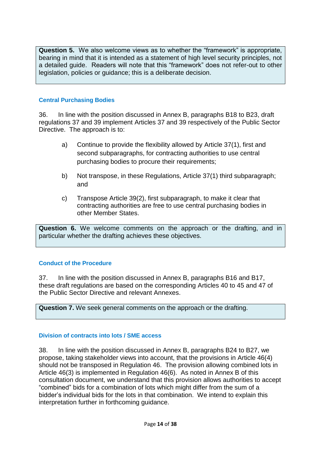**Question 5.** We also welcome views as to whether the "framework" is appropriate, bearing in mind that it is intended as a statement of high level security principles, not a detailed guide. Readers will note that this "framework" does not refer-out to other legislation, policies or guidance; this is a deliberate decision.

#### <span id="page-13-0"></span>**Central Purchasing Bodies**

36. In line with the position discussed in Annex B, paragraphs B18 to B23, draft regulations 37 and 39 implement Articles 37 and 39 respectively of the Public Sector Directive. The approach is to:

- a) Continue to provide the flexibility allowed by Article 37(1), first and second subparagraphs, for contracting authorities to use central purchasing bodies to procure their requirements;
- b) Not transpose, in these Regulations, Article 37(1) third subparagraph; and
- c) Transpose Article 39(2), first subparagraph, to make it clear that contracting authorities are free to use central purchasing bodies in other Member States.

**Question 6.** We welcome comments on the approach or the drafting, and in particular whether the drafting achieves these objectives.

#### <span id="page-13-1"></span>**Conduct of the Procedure**

37. In line with the position discussed in Annex B, paragraphs B16 and B17, these draft regulations are based on the corresponding Articles 40 to 45 and 47 of the Public Sector Directive and relevant Annexes.

**Question 7.** We seek general comments on the approach or the drafting.

#### <span id="page-13-2"></span>**Division of contracts into lots / SME access**

38. In line with the position discussed in Annex B, paragraphs B24 to B27, we propose, taking stakeholder views into account, that the provisions in Article 46(4) should not be transposed in Regulation 46. The provision allowing combined lots in Article 46(3) is implemented in Regulation 46(6). As noted in Annex B of this consultation document, we understand that this provision allows authorities to accept "combined" bids for a combination of lots which might differ from the sum of a bidder's individual bids for the lots in that combination. We intend to explain this interpretation further in forthcoming guidance.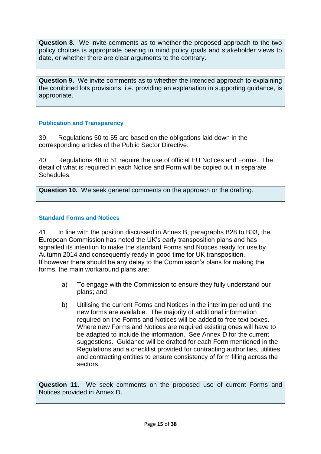**Question 8.** We invite comments as to whether the proposed approach to the two policy choices is appropriate bearing in mind policy goals and stakeholder views to date, or whether there are clear arguments to the contrary.

**Question 9.** We invite comments as to whether the intended approach to explaining the combined lots provisions, i.e. providing an explanation in supporting guidance, is appropriate.

#### <span id="page-14-0"></span>**Publication and Transparency**

39. Regulations 50 to 55 are based on the obligations laid down in the corresponding articles of the Public Sector Directive.

40. Regulations 48 to 51 require the use of official EU Notices and Forms. The detail of what is required in each Notice and Form will be copied out in separate Schedules.

**Question 10.** We seek general comments on the approach or the drafting.

#### <span id="page-14-1"></span>**Standard Forms and Notices**

41. In line with the position discussed in Annex B, paragraphs B28 to B33, the European Commission has noted the UK's early transposition plans and has signalled its intention to make the standard Forms and Notices ready for use by Autumn 2014 and consequently ready in good time for UK transposition. If however there should be any delay to the Commission's plans for making the forms, the main workaround plans are:

- a) To engage with the Commission to ensure they fully understand our plans; and
- b) Utilising the current Forms and Notices in the interim period until the new forms are available. The majority of additional information required on the Forms and Notices will be added to free text boxes. Where new Forms and Notices are required existing ones will have to be adapted to include the information. See Annex D for the current suggestions. Guidance will be drafted for each Form mentioned in the Regulations and a checklist provided for contracting authorities, utilities and contracting entities to ensure consistency of form filling across the sectors.

**Question 11.** We seek comments on the proposed use of current Forms and Notices provided in Annex D.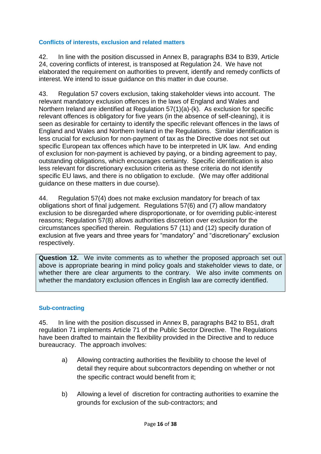### <span id="page-15-0"></span>**Conflicts of interests, exclusion and related matters**

42. In line with the position discussed in Annex B, paragraphs B34 to B39, Article 24, covering conflicts of interest, is transposed at Regulation 24. We have not elaborated the requirement on authorities to prevent, identify and remedy conflicts of interest. We intend to issue guidance on this matter in due course.

43. Regulation 57 covers exclusion, taking stakeholder views into account. The relevant mandatory exclusion offences in the laws of England and Wales and Northern Ireland are identified at Regulation 57(1)(a)-(k). As exclusion for specific relevant offences is obligatory for five years (in the absence of self-cleaning), it is seen as desirable for certainty to identify the specific relevant offences in the laws of England and Wales and Northern Ireland in the Regulations. Similar identification is less crucial for exclusion for non-payment of tax as the Directive does not set out specific European tax offences which have to be interpreted in UK law. And ending of exclusion for non-payment is achieved by paying, or a binding agreement to pay, outstanding obligations, which encourages certainty. Specific identification is also less relevant for discretionary exclusion criteria as these criteria do not identify specific EU laws, and there is no obligation to exclude. (We may offer additional guidance on these matters in due course).

44. Regulation 57(4) does not make exclusion mandatory for breach of tax obligations short of final judgement. Regulations 57(6) and (7) allow mandatory exclusion to be disregarded where disproportionate, or for overriding public-interest reasons; Regulation 57(8) allows authorities discretion over exclusion for the circumstances specified therein. Regulations 57 (11) and (12) specify duration of exclusion at five years and three years for "mandatory" and "discretionary" exclusion respectively.

**Question 12.** We invite comments as to whether the proposed approach set out above is appropriate bearing in mind policy goals and stakeholder views to date, or whether there are clear arguments to the contrary. We also invite comments on whether the mandatory exclusion offences in English law are correctly identified.

#### <span id="page-15-1"></span>**Sub-contracting**

45. In line with the position discussed in Annex B, paragraphs B42 to B51, draft regulation 71 implements Article 71 of the Public Sector Directive. The Regulations have been drafted to maintain the flexibility provided in the Directive and to reduce bureaucracy. The approach involves:

- a) Allowing contracting authorities the flexibility to choose the level of detail they require about subcontractors depending on whether or not the specific contract would benefit from it;
- b) Allowing a level of discretion for contracting authorities to examine the grounds for exclusion of the sub-contractors; and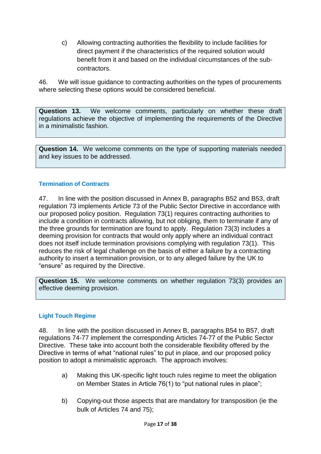c) Allowing contracting authorities the flexibility to include facilities for direct payment if the characteristics of the required solution would benefit from it and based on the individual circumstances of the subcontractors.

46. We will issue guidance to contracting authorities on the types of procurements where selecting these options would be considered beneficial.

**Question 13.** We welcome comments, particularly on whether these draft regulations achieve the objective of implementing the requirements of the Directive in a minimalistic fashion.

**Question 14.** We welcome comments on the type of supporting materials needed and key issues to be addressed.

# <span id="page-16-0"></span>**Termination of Contracts**

47. In line with the position discussed in Annex B, paragraphs B52 and B53, draft regulation 73 implements Article 73 of the Public Sector Directive in accordance with our proposed policy position. Regulation 73(1) requires contracting authorities to include a condition in contracts allowing, but not obliging, them to terminate if any of the three grounds for termination are found to apply. Regulation 73(3) includes a deeming provision for contracts that would only apply where an individual contract does not itself include termination provisions complying with regulation 73(1). This reduces the risk of legal challenge on the basis of either a failure by a contracting authority to insert a termination provision, or to any alleged failure by the UK to "ensure" as required by the Directive.

**Question 15.** We welcome comments on whether regulation 73(3) provides an effective deeming provision.

#### <span id="page-16-1"></span>**Light Touch Regime**

48. In line with the position discussed in Annex B, paragraphs B54 to B57, draft regulations 74-77 implement the corresponding Articles 74-77 of the Public Sector Directive. These take into account both the considerable flexibility offered by the Directive in terms of what "national rules" to put in place, and our proposed policy position to adopt a minimalistic approach. The approach involves:

- a) Making this UK-specific light touch rules regime to meet the obligation on Member States in Article 76(1) to "put national rules in place";
- b) Copying-out those aspects that are mandatory for transposition (ie the bulk of Articles 74 and 75);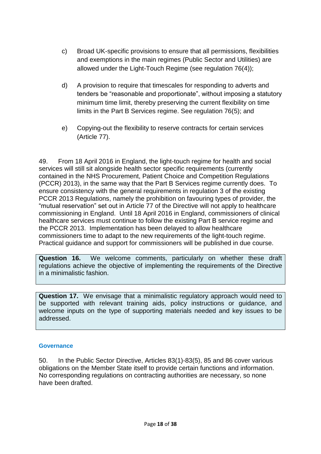- c) Broad UK-specific provisions to ensure that all permissions, flexibilities and exemptions in the main regimes (Public Sector and Utilities) are allowed under the Light-Touch Regime (see regulation 76(4));
- d) A provision to require that timescales for responding to adverts and tenders be "reasonable and proportionate", without imposing a statutory minimum time limit, thereby preserving the current flexibility on time limits in the Part B Services regime. See regulation 76(5); and
- e) Copying-out the flexibility to reserve contracts for certain services (Article 77).

49. From 18 April 2016 in England, the light-touch regime for health and social services will still sit alongside health sector specific requirements (currently contained in the NHS Procurement, Patient Choice and Competition Regulations (PCCR) 2013), in the same way that the Part B Services regime currently does. To ensure consistency with the general requirements in regulation 3 of the existing PCCR 2013 Regulations, namely the prohibition on favouring types of provider, the "mutual reservation" set out in Article 77 of the Directive will not apply to healthcare commissioning in England. Until 18 April 2016 in England, commissioners of clinical healthcare services must continue to follow the existing Part B service regime and the PCCR 2013. Implementation has been delayed to allow healthcare commissioners time to adapt to the new requirements of the light-touch regime. Practical guidance and support for commissioners will be published in due course.

**Question 16.** We welcome comments, particularly on whether these draft regulations achieve the objective of implementing the requirements of the Directive in a minimalistic fashion.

**Question 17.** We envisage that a minimalistic regulatory approach would need to be supported with relevant training aids, policy instructions or guidance, and welcome inputs on the type of supporting materials needed and key issues to be addressed.

#### <span id="page-17-0"></span>**Governance**

50. In the Public Sector Directive, Articles 83(1)-83(5), 85 and 86 cover various obligations on the Member State itself to provide certain functions and information. No corresponding regulations on contracting authorities are necessary, so none have been drafted.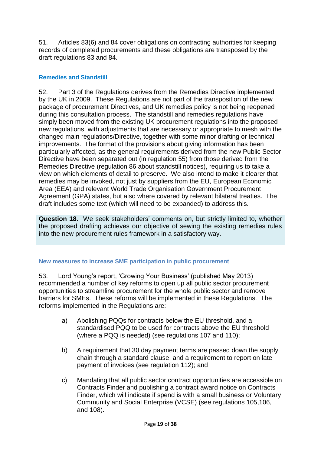51. Articles 83(6) and 84 cover obligations on contracting authorities for keeping records of completed procurements and these obligations are transposed by the draft regulations 83 and 84.

### <span id="page-18-0"></span>**Remedies and Standstill**

52. Part 3 of the Regulations derives from the Remedies Directive implemented by the UK in 2009. These Regulations are not part of the transposition of the new package of procurement Directives, and UK remedies policy is not being reopened during this consultation process. The standstill and remedies regulations have simply been moved from the existing UK procurement regulations into the proposed new regulations, with adjustments that are necessary or appropriate to mesh with the changed main regulations/Directive, together with some minor drafting or technical improvements. The format of the provisions about giving information has been particularly affected, as the general requirements derived from the new Public Sector Directive have been separated out (in regulation 55) from those derived from the Remedies Directive (regulation 86 about standstill notices), requiring us to take a view on which elements of detail to preserve. We also intend to make it clearer that remedies may be invoked, not just by suppliers from the EU, European Economic Area (EEA) and relevant World Trade Organisation Government Procurement Agreement (GPA) states, but also where covered by relevant bilateral treaties. The draft includes some text (which will need to be expanded) to address this.

**Question 18.** We seek stakeholders' comments on, but strictly limited to, whether the proposed drafting achieves our objective of sewing the existing remedies rules into the new procurement rules framework in a satisfactory way.

#### <span id="page-18-1"></span>**New measures to increase SME participation in public procurement**

53. Lord Young's report, 'Growing Your Business' (published May 2013) recommended a number of key reforms to open up all public sector procurement opportunities to streamline procurement for the whole public sector and remove barriers for SMEs. These reforms will be implemented in these Regulations. The reforms implemented in the Regulations are:

- a) Abolishing PQQs for contracts below the EU threshold, and a standardised PQQ to be used for contracts above the EU threshold (where a PQQ is needed) (see regulations 107 and 110);
- b) A requirement that 30 day payment terms are passed down the supply chain through a standard clause, and a requirement to report on late payment of invoices (see regulation 112); and
- c) Mandating that all public sector contract opportunities are accessible on Contracts Finder and publishing a contract award notice on Contracts Finder, which will indicate if spend is with a small business or Voluntary Community and Social Enterprise (VCSE) (see regulations 105,106, and 108).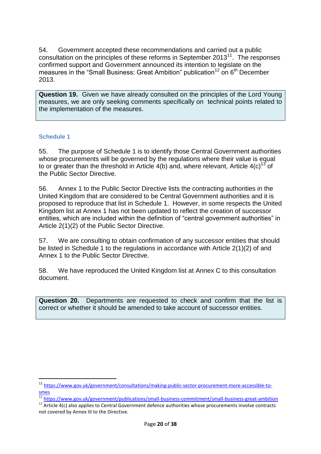54. Government accepted these recommendations and carried out a public consultation on the principles of these reforms in September  $2013<sup>11</sup>$ . The responses confirmed support and Government announced its intention to legislate on the measures in the "Small Business: Great Ambition" publication<sup>12</sup> on  $6<sup>th</sup>$  December 2013.

**Question 19.** Given we have already consulted on the principles of the Lord Young measures, we are only seeking comments specifically on technical points related to the implementation of the measures.

#### <span id="page-19-0"></span>**Schedule 1**

1

55. The purpose of Schedule 1 is to identify those Central Government authorities whose procurements will be governed by the regulations where their value is equal to or greater than the threshold in Article  $4(b)$  and, where relevant, Article  $4(c)^{13}$  of the Public Sector Directive.

56. Annex 1 to the Public Sector Directive lists the contracting authorities in the United Kingdom that are considered to be Central Government authorities and it is proposed to reproduce that list in Schedule 1. However, in some respects the United Kingdom list at Annex 1 has not been updated to reflect the creation of successor entities, which are included within the definition of "central government authorities" in Article 2(1)(2) of the Public Sector Directive.

57. We are consulting to obtain confirmation of any successor entities that should be listed in Schedule 1 to the regulations in accordance with Article 2(1)(2) of and Annex 1 to the Public Sector Directive.

58. We have reproduced the United Kingdom list at Annex C to this consultation document.

**Question 20.** Departments are requested to check and confirm that the list is correct or whether it should be amended to take account of successor entities.

<sup>11</sup> [https://www.gov.uk/government/consultations/making-public-sector-procurement-more-accessible-to](https://www.gov.uk/government/consultations/making-public-sector-procurement-more-accessible-to-smes)[smes](https://www.gov.uk/government/consultations/making-public-sector-procurement-more-accessible-to-smes)

 $\frac{12}{12}$  <https://www.gov.uk/government/publications/small-business-commitment/small-business-great-ambition>

<sup>&</sup>lt;sup>13</sup> Article 4(c) also applies to Central Government defence authorities whose procurements involve contracts not covered by Annex III to the Directive.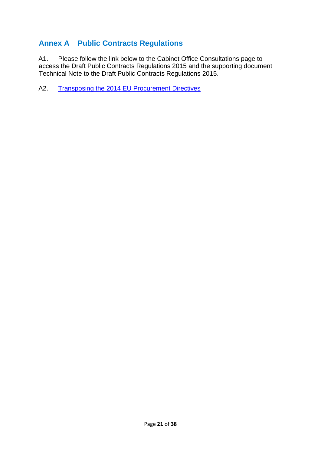# <span id="page-20-0"></span>**Annex A Public Contracts Regulations**

A1. Please follow the link below to the Cabinet Office Consultations page to access the Draft Public Contracts Regulations 2015 and the supporting document Technical Note to the Draft Public Contracts Regulations 2015.

A2. [Transposing the 2014 EU Procurement Directives](https://www.gov.uk/government/consultations/transposing-the-2014-eu-procurement-directives)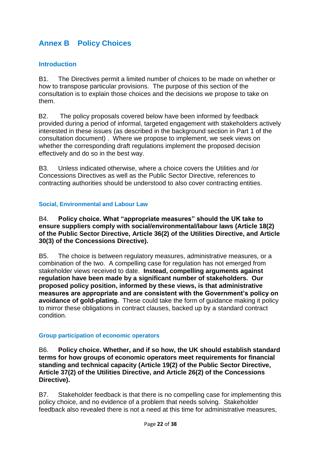# <span id="page-21-0"></span>**Annex B Policy Choices**

#### <span id="page-21-1"></span>**Introduction**

B1. The Directives permit a limited number of choices to be made on whether or how to transpose particular provisions. The purpose of this section of the consultation is to explain those choices and the decisions we propose to take on them.

B2. The policy proposals covered below have been informed by feedback provided during a period of informal, targeted engagement with stakeholders actively interested in these issues (as described in the background section in Part 1 of the consultation document) . Where we propose to implement, we seek views on whether the corresponding draft regulations implement the proposed decision effectively and do so in the best way.

B3. Unless indicated otherwise, where a choice covers the Utilities and /or Concessions Directives as well as the Public Sector Directive, references to contracting authorities should be understood to also cover contracting entities.

#### <span id="page-21-2"></span>**Social, Environmental and Labour Law**

B4. **Policy choice. What "appropriate measures" should the UK take to ensure suppliers comply with social/environmental/labour laws (Article 18(2) of the Public Sector Directive, Article 36(2) of the Utilities Directive, and Article 30(3) of the Concessions Directive).**

B5. The choice is between regulatory measures, administrative measures, or a combination of the two. A compelling case for regulation has not emerged from stakeholder views received to date. **Instead, compelling arguments against regulation have been made by a significant number of stakeholders. Our proposed policy position, informed by these views, is that administrative measures are appropriate and are consistent with the Government's policy on avoidance of gold-plating.** These could take the form of guidance making it policy to mirror these obligations in contract clauses, backed up by a standard contract condition.

#### <span id="page-21-3"></span>**Group participation of economic operators**

B6. **Policy choice. Whether, and if so how, the UK should establish standard terms for how groups of economic operators meet requirements for financial standing and technical capacity (Article 19(2) of the Public Sector Directive, Article 37(2) of the Utilities Directive, and Article 26(2) of the Concessions Directive).**

B7. Stakeholder feedback is that there is no compelling case for implementing this policy choice, and no evidence of a problem that needs solving. Stakeholder feedback also revealed there is not a need at this time for administrative measures,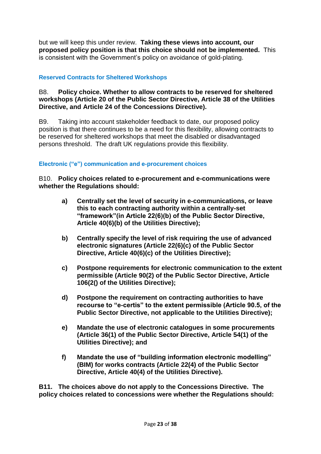but we will keep this under review. **Taking these views into account, our proposed policy position is that this choice should not be implemented.** This is consistent with the Government's policy on avoidance of gold-plating.

#### <span id="page-22-0"></span>**Reserved Contracts for Sheltered Workshops**

#### B8. **Policy choice. Whether to allow contracts to be reserved for sheltered workshops (Article 20 of the Public Sector Directive, Article 38 of the Utilities Directive, and Article 24 of the Concessions Directive).**

B9. Taking into account stakeholder feedback to date, our proposed policy position is that there continues to be a need for this flexibility, allowing contracts to be reserved for sheltered workshops that meet the disabled or disadvantaged persons threshold. The draft UK regulations provide this flexibility.

#### <span id="page-22-1"></span>**Electronic ("e") communication and e-procurement choices**

B10. **Policy choices related to e-procurement and e-communications were whether the Regulations should:** 

- **a) Centrally set the level of security in e-communications, or leave this to each contracting authority within a centrally-set "framework"(in Article 22(6)(b) of the Public Sector Directive, Article 40(6)(b) of the Utilities Directive);**
- **b) Centrally specify the level of risk requiring the use of advanced electronic signatures (Article 22(6)(c) of the Public Sector Directive, Article 40(6)(c) of the Utilities Directive);**
- **c) Postpone requirements for electronic communication to the extent permissible (Article 90(2) of the Public Sector Directive, Article 106(2() of the Utilities Directive);**
- **d) Postpone the requirement on contracting authorities to have recourse to "e-certis" to the extent permissible (Article 90.5, of the Public Sector Directive, not applicable to the Utilities Directive);**
- **e) Mandate the use of electronic catalogues in some procurements (Article 36(1) of the Public Sector Directive, Article 54(1) of the Utilities Directive); and**
- **f) Mandate the use of "building information electronic modelling" (BIM) for works contracts (Article 22(4) of the Public Sector Directive, Article 40(4) of the Utilities Directive).**

**B11. The choices above do not apply to the Concessions Directive. The policy choices related to concessions were whether the Regulations should:**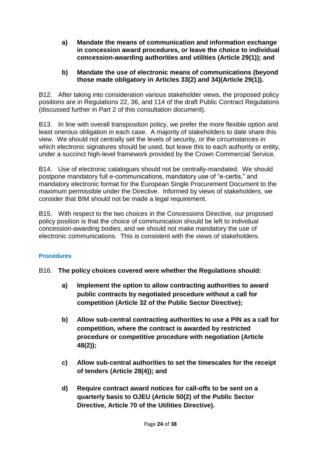**a) Mandate the means of communication and information exchange in concession award procedures, or leave the choice to individual concession-awarding authorities and utilities (Article 29(1)); and**

### **b) Mandate the use of electronic means of communications (beyond those made obligatory in Articles 33(2) and 34)(Article 29(1)).**

B12. After taking into consideration various stakeholder views, the proposed policy positions are in Regulations 22, 36, and 114 of the draft Public Contract Regulations (discussed further in Part 2 of this consultation document).

B13. In line with overall transposition policy, we prefer the more flexible option and least onerous obligation in each case. A majority of stakeholders to date share this view. We should not centrally set the levels of security, or the circumstances in which electronic signatures should be used, but leave this to each authority or entity, under a succinct high-level framework provided by the Crown Commercial Service.

B14. Use of electronic catalogues should not be centrally-mandated. We should postpone mandatory full e-communications, mandatory use of "e-certis," and mandatory electronic format for the European Single Procurement Document to the maximum permissible under the Directive. Informed by views of stakeholders, we consider that BIM should not be made a legal requirement.

B15. With respect to the two choices in the Concessions Directive, our proposed policy position is that the choice of communication should be left to individual concession-awarding bodies, and we should not make mandatory the use of electronic communications. This is consistent with the views of stakeholders.

# <span id="page-23-0"></span>**Procedures**

- B16. **The policy choices covered were whether the Regulations should:**
	- **a) Implement the option to allow contracting authorities to award public contracts by negotiated procedure without a call for competition (Article 32 of the Public Sector Directive);**
	- **b) Allow sub-central contracting authorities to use a PIN as a call for competition, where the contract is awarded by restricted procedure or competitive procedure with negotiation (Article 48(2));**
	- **c) Allow sub-central authorities to set the timescales for the receipt of tenders (Article 28(4)); and**
	- **d) Require contract award notices for call-offs to be sent on a quarterly basis to OJEU (Article 50(2) of the Public Sector Directive, Article 70 of the Utilities Directive).**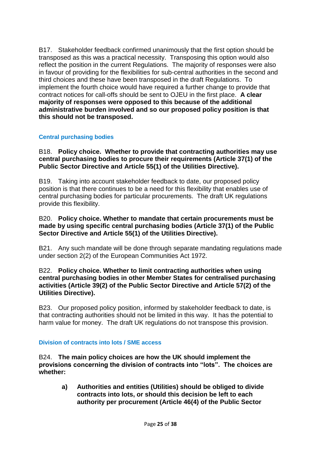B17. Stakeholder feedback confirmed unanimously that the first option should be transposed as this was a practical necessity. Transposing this option would also reflect the position in the current Regulations. The majority of responses were also in favour of providing for the flexibilities for sub-central authorities in the second and third choices and these have been transposed in the draft Regulations. To implement the fourth choice would have required a further change to provide that contract notices for call-offs should be sent to OJEU in the first place. **A clear majority of responses were opposed to this because of the additional administrative burden involved and so our proposed policy position is that this should not be transposed.**

#### <span id="page-24-0"></span>**Central purchasing bodies**

B18. **Policy choice. Whether to provide that contracting authorities may use central purchasing bodies to procure their requirements (Article 37(1) of the Public Sector Directive and Article 55(1) of the Utilities Directive).**

B19. Taking into account stakeholder feedback to date, our proposed policy position is that there continues to be a need for this flexibility that enables use of central purchasing bodies for particular procurements. The draft UK regulations provide this flexibility.

#### B20. **Policy choice. Whether to mandate that certain procurements must be made by using specific central purchasing bodies (Article 37(1) of the Public Sector Directive and Article 55(1) of the Utilities Directive).**

B21. Any such mandate will be done through separate mandating regulations made under section 2(2) of the European Communities Act 1972.

#### B22. **Policy choice. Whether to limit contracting authorities when using central purchasing bodies in other Member States for centralised purchasing activities (Article 39(2) of the Public Sector Directive and Article 57(2) of the Utilities Directive).**

B23. Our proposed policy position, informed by stakeholder feedback to date, is that contracting authorities should not be limited in this way. It has the potential to harm value for money. The draft UK regulations do not transpose this provision.

#### <span id="page-24-1"></span>**Division of contracts into lots / SME access**

B24. **The main policy choices are how the UK should implement the provisions concerning the division of contracts into "lots". The choices are whether:**

**a) Authorities and entities (Utilities) should be obliged to divide contracts into lots, or should this decision be left to each authority per procurement (Article 46(4) of the Public Sector**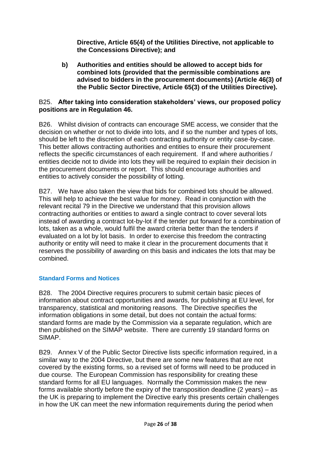**Directive, Article 65(4) of the Utilities Directive, not applicable to the Concessions Directive); and**

**b) Authorities and entities should be allowed to accept bids for combined lots (provided that the permissible combinations are advised to bidders in the procurement documents) (Article 46(3) of the Public Sector Directive, Article 65(3) of the Utilities Directive).** 

#### B25. **After taking into consideration stakeholders' views, our proposed policy positions are in Regulation 46.**

B26. Whilst division of contracts can encourage SME access, we consider that the decision on whether or not to divide into lots, and if so the number and types of lots, should be left to the discretion of each contracting authority or entity case-by-case. This better allows contracting authorities and entities to ensure their procurement reflects the specific circumstances of each requirement. If and where authorities / entities decide not to divide into lots they will be required to explain their decision in the procurement documents or report. This should encourage authorities and entities to actively consider the possibility of lotting.

B27. We have also taken the view that bids for combined lots should be allowed. This will help to achieve the best value for money. Read in conjunction with the relevant recital 79 in the Directive we understand that this provision allows contracting authorities or entities to award a single contract to cover several lots instead of awarding a contract lot-by-lot if the tender put forward for a combination of lots, taken as a whole, would fulfil the award criteria better than the tenders if evaluated on a lot by lot basis. In order to exercise this freedom the contracting authority or entity will need to make it clear in the procurement documents that it reserves the possibility of awarding on this basis and indicates the lots that may be combined.

# <span id="page-25-0"></span>**Standard Forms and Notices**

B28. The 2004 Directive requires procurers to submit certain basic pieces of information about contract opportunities and awards, for publishing at EU level, for transparency, statistical and monitoring reasons. The Directive specifies the information obligations in some detail, but does not contain the actual forms: standard forms are made by the Commission via a separate regulation, which are then published on the SIMAP website. There are currently 19 standard forms on SIMAP.

B29. Annex V of the Public Sector Directive lists specific information required, in a similar way to the 2004 Directive, but there are some new features that are not covered by the existing forms, so a revised set of forms will need to be produced in due course. The European Commission has responsibility for creating these standard forms for all EU languages. Normally the Commission makes the new forms available shortly before the expiry of the transposition deadline (2 years) – as the UK is preparing to implement the Directive early this presents certain challenges in how the UK can meet the new information requirements during the period when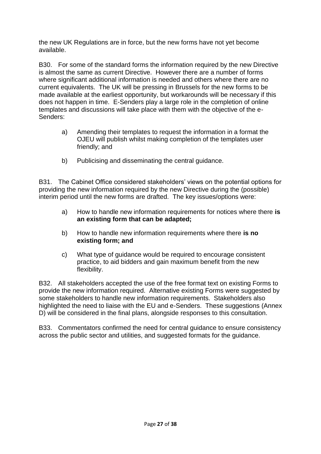the new UK Regulations are in force, but the new forms have not yet become available.

B30. For some of the standard forms the information required by the new Directive is almost the same as current Directive. However there are a number of forms where significant additional information is needed and others where there are no current equivalents. The UK will be pressing in Brussels for the new forms to be made available at the earliest opportunity, but workarounds will be necessary if this does not happen in time. E-Senders play a large role in the completion of online templates and discussions will take place with them with the objective of the e-Senders:

- a) Amending their templates to request the information in a format the OJEU will publish whilst making completion of the templates user friendly; and
- b) Publicising and disseminating the central guidance.

B31. The Cabinet Office considered stakeholders' views on the potential options for providing the new information required by the new Directive during the (possible) interim period until the new forms are drafted. The key issues/options were:

- a) How to handle new information requirements for notices where there **is an existing form that can be adapted;**
- b) How to handle new information requirements where there **is no existing form; and**
- c) What type of guidance would be required to encourage consistent practice, to aid bidders and gain maximum benefit from the new flexibility.

B32. All stakeholders accepted the use of the free format text on existing Forms to provide the new information required. Alternative existing Forms were suggested by some stakeholders to handle new information requirements. Stakeholders also highlighted the need to liaise with the EU and e-Senders. These suggestions (Annex D) will be considered in the final plans, alongside responses to this consultation.

B33. Commentators confirmed the need for central guidance to ensure consistency across the public sector and utilities, and suggested formats for the guidance.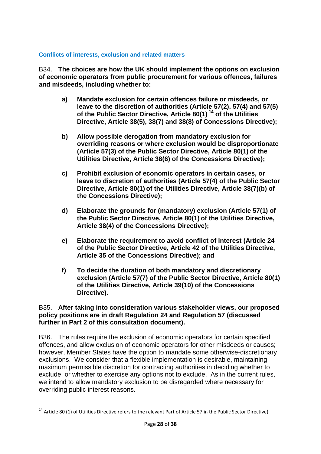#### <span id="page-27-0"></span>**Conflicts of interests, exclusion and related matters**

B34. **The choices are how the UK should implement the options on exclusion of economic operators from public procurement for various offences, failures and misdeeds, including whether to:**

- **a) Mandate exclusion for certain offences failure or misdeeds, or leave to the discretion of authorities (Article 57(2), 57(4) and 57(5) of the Public Sector Directive, Article 80(1) <sup>14</sup> of the Utilities Directive, Article 38(5), 38(7) and 38(8) of Concessions Directive);**
- **b) Allow possible derogation from mandatory exclusion for overriding reasons or where exclusion would be disproportionate (Article 57(3) of the Public Sector Directive, Article 80(1) of the Utilities Directive, Article 38(6) of the Concessions Directive);**
- **c) Prohibit exclusion of economic operators in certain cases, or leave to discretion of authorities (Article 57(4) of the Public Sector Directive, Article 80(1) of the Utilities Directive, Article 38(7)(b) of the Concessions Directive);**
- **d) Elaborate the grounds for (mandatory) exclusion (Article 57(1) of the Public Sector Directive, Article 80(1) of the Utilities Directive, Article 38(4) of the Concessions Directive);**
- **e) Elaborate the requirement to avoid conflict of interest (Article 24 of the Public Sector Directive, Article 42 of the Utilities Directive, Article 35 of the Concessions Directive); and**
- **f) To decide the duration of both mandatory and discretionary exclusion (Article 57(7) of the Public Sector Directive, Article 80(1) of the Utilities Directive, Article 39(10) of the Concessions Directive).**

#### B35. **After taking into consideration various stakeholder views, our proposed policy positions are in draft Regulation 24 and Regulation 57 (discussed further in Part 2 of this consultation document).**

B36. The rules require the exclusion of economic operators for certain specified offences, and allow exclusion of economic operators for other misdeeds or causes; however, Member States have the option to mandate some otherwise-discretionary exclusions. We consider that a flexible implementation is desirable, maintaining maximum permissible discretion for contracting authorities in deciding whether to exclude, or whether to exercise any options not to exclude. As in the current rules, we intend to allow mandatory exclusion to be disregarded where necessary for overriding public interest reasons.

 $\overline{a}$ 

 $14$  Article 80 (1) of Utilities Directive refers to the relevant Part of Article 57 in the Public Sector Directive).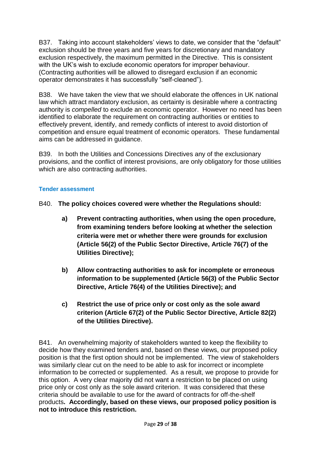B37. Taking into account stakeholders' views to date, we consider that the "default" exclusion should be three years and five years for discretionary and mandatory exclusion respectively, the maximum permitted in the Directive. This is consistent with the UK's wish to exclude economic operators for improper behaviour. (Contracting authorities will be allowed to disregard exclusion if an economic operator demonstrates it has successfully "self-cleaned").

B38. We have taken the view that we should elaborate the offences in UK national law which attract mandatory exclusion, as certainty is desirable where a contracting authority is *compelled* to exclude an economic operator. However no need has been identified to elaborate the requirement on contracting authorities or entities to effectively prevent, identify, and remedy conflicts of interest to avoid distortion of competition and ensure equal treatment of economic operators. These fundamental aims can be addressed in guidance.

B39. In both the Utilities and Concessions Directives any of the exclusionary provisions, and the conflict of interest provisions, are only obligatory for those utilities which are also contracting authorities.

#### <span id="page-28-0"></span>**Tender assessment**

B40. **The policy choices covered were whether the Regulations should:**

- **a) Prevent contracting authorities, when using the open procedure, from examining tenders before looking at whether the selection criteria were met or whether there were grounds for exclusion (Article 56(2) of the Public Sector Directive, Article 76(7) of the Utilities Directive);**
- **b) Allow contracting authorities to ask for incomplete or erroneous information to be supplemented (Article 56(3) of the Public Sector Directive, Article 76(4) of the Utilities Directive); and**
- **c) Restrict the use of price only or cost only as the sole award criterion (Article 67(2) of the Public Sector Directive, Article 82(2) of the Utilities Directive).**

B41. An overwhelming majority of stakeholders wanted to keep the flexibility to decide how they examined tenders and, based on these views, our proposed policy position is that the first option should not be implemented. The view of stakeholders was similarly clear cut on the need to be able to ask for incorrect or incomplete information to be corrected or supplemented. As a result, we propose to provide for this option. A very clear majority did not want a restriction to be placed on using price only or cost only as the sole award criterion. It was considered that these criteria should be available to use for the award of contracts for off-the-shelf products**. Accordingly, based on these views, our proposed policy position is not to introduce this restriction.**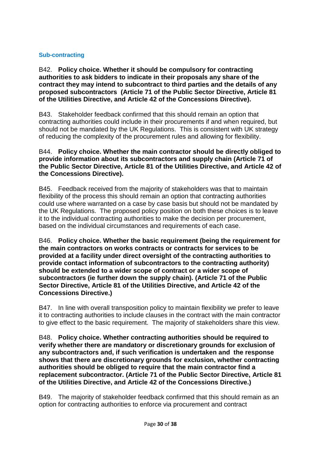### <span id="page-29-0"></span>**Sub-contracting**

B42. **Policy choice. Whether it should be compulsory for contracting authorities to ask bidders to indicate in their proposals any share of the contract they may intend to subcontract to third parties and the details of any proposed subcontractors (Article 71 of the Public Sector Directive, Article 81 of the Utilities Directive, and Article 42 of the Concessions Directive).**

B43. Stakeholder feedback confirmed that this should remain an option that contracting authorities could include in their procurements if and when required, but should not be mandated by the UK Regulations. This is consistent with UK strategy of reducing the complexity of the procurement rules and allowing for flexibility.

#### B44. **Policy choice. Whether the main contractor should be directly obliged to provide information about its subcontractors and supply chain (Article 71 of the Public Sector Directive, Article 81 of the Utilities Directive, and Article 42 of the Concessions Directive).**

B45. Feedback received from the majority of stakeholders was that to maintain flexibility of the process this should remain an option that contracting authorities could use where warranted on a case by case basis but should not be mandated by the UK Regulations. The proposed policy position on both these choices is to leave it to the individual contracting authorities to make the decision per procurement, based on the individual circumstances and requirements of each case.

B46. **Policy choice. Whether the basic requirement (being the requirement for the main contractors on works contracts or contracts for services to be provided at a facility under direct oversight of the contracting authorities to provide contact information of subcontractors to the contracting authority) should be extended to a wider scope of contract or a wider scope of subcontractors (ie further down the supply chain). (Article 71 of the Public Sector Directive, Article 81 of the Utilities Directive, and Article 42 of the Concessions Directive.)**

B47. In line with overall transposition policy to maintain flexibility we prefer to leave it to contracting authorities to include clauses in the contract with the main contractor to give effect to the basic requirement. The majority of stakeholders share this view.

B48. **Policy choice. Whether contracting authorities should be required to verify whether there are mandatory or discretionary grounds for exclusion of any subcontractors and, if such verification is undertaken and the response shows that there are discretionary grounds for exclusion, whether contracting authorities should be obliged to require that the main contractor find a replacement subcontractor. (Article 71 of the Public Sector Directive, Article 81 of the Utilities Directive, and Article 42 of the Concessions Directive.)**

B49. The majority of stakeholder feedback confirmed that this should remain as an option for contracting authorities to enforce via procurement and contract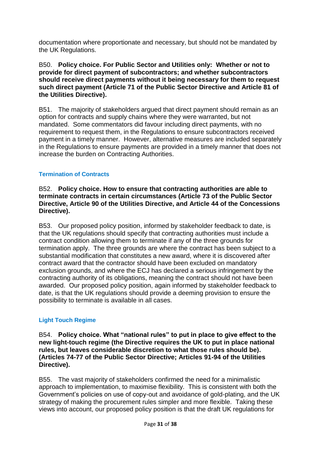documentation where proportionate and necessary, but should not be mandated by the UK Regulations.

B50. **Policy choice. For Public Sector and Utilities only: Whether or not to provide for direct payment of subcontractors; and whether subcontractors should receive direct payments without it being necessary for them to request such direct payment (Article 71 of the Public Sector Directive and Article 81 of the Utilities Directive).**

B51. The majority of stakeholders argued that direct payment should remain as an option for contracts and supply chains where they were warranted, but not mandated. Some commentators did favour including direct payments, with no requirement to request them, in the Regulations to ensure subcontractors received payment in a timely manner. However, alternative measures are included separately in the Regulations to ensure payments are provided in a timely manner that does not increase the burden on Contracting Authorities.

# <span id="page-30-0"></span>**Termination of Contracts**

B52. **Policy choice. How to ensure that contracting authorities are able to terminate contracts in certain circumstances (Article 73 of the Public Sector Directive, Article 90 of the Utilities Directive, and Article 44 of the Concessions Directive).**

B53. Our proposed policy position, informed by stakeholder feedback to date, is that the UK regulations should specify that contracting authorities must include a contract condition allowing them to terminate if any of the three grounds for termination apply. The three grounds are where the contract has been subject to a substantial modification that constitutes a new award, where it is discovered after contract award that the contractor should have been excluded on mandatory exclusion grounds, and where the ECJ has declared a serious infringement by the contracting authority of its obligations, meaning the contract should not have been awarded. Our proposed policy position, again informed by stakeholder feedback to date, is that the UK regulations should provide a deeming provision to ensure the possibility to terminate is available in all cases.

# <span id="page-30-1"></span>**Light Touch Regime**

B54. **Policy choice. What "national rules" to put in place to give effect to the new light-touch regime (the Directive requires the UK to put in place national rules, but leaves considerable discretion to what those rules should be). (Articles 74-77 of the Public Sector Directive; Articles 91-94 of the Utilities Directive).**

B55. The vast majority of stakeholders confirmed the need for a minimalistic approach to implementation, to maximise flexibility. This is consistent with both the Government's policies on use of copy-out and avoidance of gold-plating, and the UK strategy of making the procurement rules simpler and more flexible. Taking these views into account, our proposed policy position is that the draft UK regulations for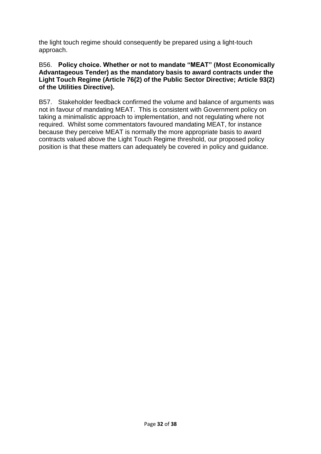the light touch regime should consequently be prepared using a light-touch approach.

#### B56. **Policy choice. Whether or not to mandate "MEAT" (Most Economically Advantageous Tender) as the mandatory basis to award contracts under the Light Touch Regime (Article 76(2) of the Public Sector Directive; Article 93(2) of the Utilities Directive).**

B57. Stakeholder feedback confirmed the volume and balance of arguments was not in favour of mandating MEAT. This is consistent with Government policy on taking a minimalistic approach to implementation, and not regulating where not required. Whilst some commentators favoured mandating MEAT, for instance because they perceive MEAT is normally the more appropriate basis to award contracts valued above the Light Touch Regime threshold, our proposed policy position is that these matters can adequately be covered in policy and guidance.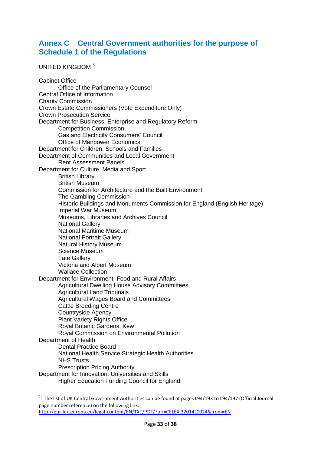# <span id="page-32-0"></span>**Annex C Central Government authorities for the purpose of Schedule 1 of the Regulations**

UNITED KINGDOM<sup>15</sup>

 $\overline{a}$ 

Cabinet Office Office of the Parliamentary Counsel Central Office of Information Charity Commission Crown Estate Commissioners (Vote Expenditure Only) Crown Prosecution Service Department for Business, Enterprise and Regulatory Reform Competition Commission Gas and Electricity Consumers' Council Office of Manpower Economics Department for Children, Schools and Families Department of Communities and Local Government Rent Assessment Panels Department for Culture, Media and Sport British Library British Museum Commission for Architecture and the Built Environment The Gambling Commission Historic Buildings and Monuments Commission for England (English Heritage) Imperial War Museum Museums, Libraries and Archives Council National Gallery National Maritime Museum National Portrait Gallery Natural History Museum Science Museum Tate Gallery Victoria and Albert Museum Wallace Collection Department for Environment, Food and Rural Affairs Agricultural Dwelling House Advisory Committees Agricultural Land Tribunals Agricultural Wages Board and Committees Cattle Breeding Centre Countryside Agency **Plant Variety Rights Office** Royal Botanic Gardens, Kew Royal Commission on Environmental Pollution Department of Health Dental Practice Board National Health Service Strategic Health Authorities NHS Trusts Prescription Pricing Authority Department for Innovation, Universities and Skills Higher Education Funding Council for England

<sup>&</sup>lt;sup>15</sup> The list of UK Central Government Authorities can be found at pages L94/193 to L94/197 (Official Journal page number reference) on the following link: <http://eur-lex.europa.eu/legal-content/EN/TXT/PDF/?uri=CELEX:32014L0024&from=EN>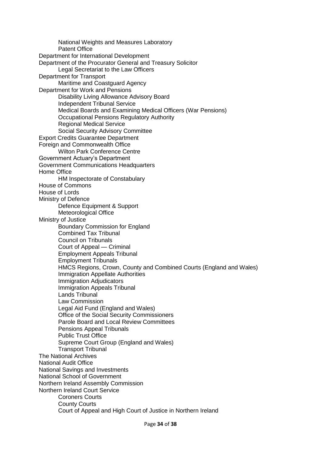National Weights and Measures Laboratory Patent Office Department for International Development Department of the Procurator General and Treasury Solicitor Legal Secretariat to the Law Officers Department for Transport Maritime and Coastguard Agency Department for Work and Pensions Disability Living Allowance Advisory Board Independent Tribunal Service Medical Boards and Examining Medical Officers (War Pensions) Occupational Pensions Regulatory Authority Regional Medical Service Social Security Advisory Committee Export Credits Guarantee Department Foreign and Commonwealth Office Wilton Park Conference Centre Government Actuary's Department Government Communications Headquarters Home Office HM Inspectorate of Constabulary House of Commons House of Lords Ministry of Defence Defence Equipment & Support Meteorological Office Ministry of Justice Boundary Commission for England Combined Tax Tribunal Council on Tribunals Court of Appeal — Criminal Employment Appeals Tribunal Employment Tribunals HMCS Regions, Crown, County and Combined Courts (England and Wales) Immigration Appellate Authorities Immigration Adjudicators Immigration Appeals Tribunal Lands Tribunal Law Commission Legal Aid Fund (England and Wales) Office of the Social Security Commissioners Parole Board and Local Review Committees Pensions Appeal Tribunals Public Trust Office Supreme Court Group (England and Wales) Transport Tribunal The National Archives National Audit Office National Savings and Investments National School of Government Northern Ireland Assembly Commission Northern Ireland Court Service Coroners Courts County Courts Court of Appeal and High Court of Justice in Northern Ireland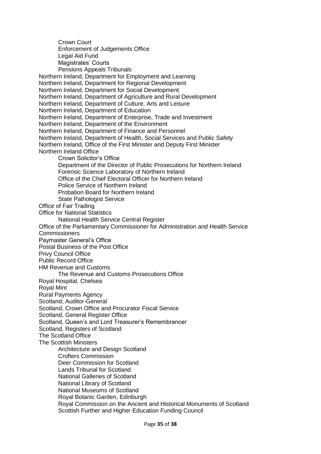Crown Court Enforcement of Judgements Office Legal Aid Fund Magistrates' Courts Pensions Appeals Tribunals Northern Ireland, Department for Employment and Learning Northern Ireland, Department for Regional Development Northern Ireland, Department for Social Development Northern Ireland, Department of Agriculture and Rural Development Northern Ireland, Department of Culture, Arts and Leisure Northern Ireland, Department of Education Northern Ireland, Department of Enterprise, Trade and Investment Northern Ireland, Department of the Environment Northern Ireland, Department of Finance and Personnel Northern Ireland, Department of Health, Social Services and Public Safety Northern Ireland, Office of the First Minister and Deputy First Minister Northern Ireland Office Crown Solicitor's Office Department of the Director of Public Prosecutions for Northern Ireland Forensic Science Laboratory of Northern Ireland Office of the Chief Electoral Officer for Northern Ireland Police Service of Northern Ireland Probation Board for Northern Ireland State Pathologist Service Office of Fair Trading Office for National Statistics National Health Service Central Register Office of the Parliamentary Commissioner for Administration and Health Service **Commissioners** Paymaster General's Office Postal Business of the Post Office Privy Council Office Public Record Office HM Revenue and Customs The Revenue and Customs Prosecutions Office Royal Hospital, Chelsea Royal Mint Rural Payments Agency Scotland, Auditor-General Scotland, Crown Office and Procurator Fiscal Service Scotland, General Register Office Scotland, Queen's and Lord Treasurer's Remembrancer Scotland, Registers of Scotland The Scotland Office The Scottish Ministers Architecture and Design Scotland Crofters Commission Deer Commission for Scotland Lands Tribunal for Scotland National Galleries of Scotland National Library of Scotland National Museums of Scotland Royal Botanic Garden, Edinburgh Royal Commission on the Ancient and Historical Monuments of Scotland Scottish Further and Higher Education Funding Council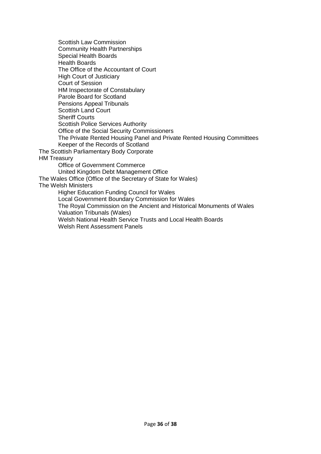Scottish Law Commission Community Health Partnerships Special Health Boards Health Boards The Office of the Accountant of Court High Court of Justiciary Court of Session HM Inspectorate of Constabulary Parole Board for Scotland Pensions Appeal Tribunals Scottish Land Court Sheriff Courts Scottish Police Services Authority Office of the Social Security Commissioners The Private Rented Housing Panel and Private Rented Housing Committees Keeper of the Records of Scotland The Scottish Parliamentary Body Corporate HM Treasury Office of Government Commerce United Kingdom Debt Management Office The Wales Office (Office of the Secretary of State for Wales) The Welsh Ministers Higher Education Funding Council for Wales Local Government Boundary Commission for Wales The Royal Commission on the Ancient and Historical Monuments of Wales Valuation Tribunals (Wales) Welsh National Health Service Trusts and Local Health Boards Welsh Rent Assessment Panels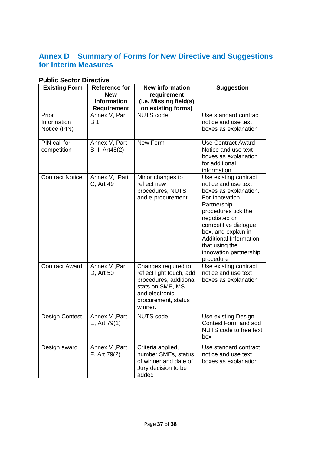# <span id="page-36-0"></span>**Annex D Summary of Forms for New Directive and Suggestions for Interim Measures**

| <b>Existing Form</b>                 | <b>Reference for</b><br><b>New</b>       | <b>New information</b><br>requirement                                                                                                             | <b>Suggestion</b>                                                                                                                                                                                                                                                                       |
|--------------------------------------|------------------------------------------|---------------------------------------------------------------------------------------------------------------------------------------------------|-----------------------------------------------------------------------------------------------------------------------------------------------------------------------------------------------------------------------------------------------------------------------------------------|
|                                      | <b>Information</b><br><b>Requirement</b> | (i.e. Missing field(s)<br>on existing forms)                                                                                                      |                                                                                                                                                                                                                                                                                         |
| Prior<br>Information<br>Notice (PIN) | Annex V, Part<br><b>B</b> 1              | <b>NUTS code</b>                                                                                                                                  | Use standard contract<br>notice and use text<br>boxes as explanation                                                                                                                                                                                                                    |
| PIN call for<br>competition          | Annex V, Part<br><b>B</b> II, Art48(2)   | New Form                                                                                                                                          | <b>Use Contract Award</b><br>Notice and use text<br>boxes as explanation<br>for additional<br>information                                                                                                                                                                               |
| <b>Contract Notice</b>               | Annex V, Part<br>C, Art 49               | Minor changes to<br>reflect new<br>procedures, NUTS<br>and e-procurement                                                                          | Use existing contract<br>notice and use text<br>boxes as explanation.<br>For Innovation<br>Partnership<br>procedures tick the<br>negotiated or<br>competitive dialogue<br>box, and explain in<br><b>Additional Information</b><br>that using the<br>innovation partnership<br>procedure |
| <b>Contract Award</b>                | Annex V, Part<br>D, Art 50               | Changes required to<br>reflect light touch, add<br>procedures, additional<br>stats on SME, MS<br>and electronic<br>procurement, status<br>winner. | Use existing contract<br>notice and use text<br>boxes as explanation                                                                                                                                                                                                                    |
| Design Contest                       | Annex V, Part<br>E, Art 79(1)            | <b>NUTS code</b>                                                                                                                                  | Use existing Design<br>Contest Form and add<br>NUTS code to free text<br>box                                                                                                                                                                                                            |
| Design award                         | Annex V, Part<br>F, Art 79(2)            | Criteria applied,<br>number SMEs, status<br>of winner and date of<br>Jury decision to be<br>added                                                 | Use standard contract<br>notice and use text<br>boxes as explanation                                                                                                                                                                                                                    |

# **Public Sector Directive**